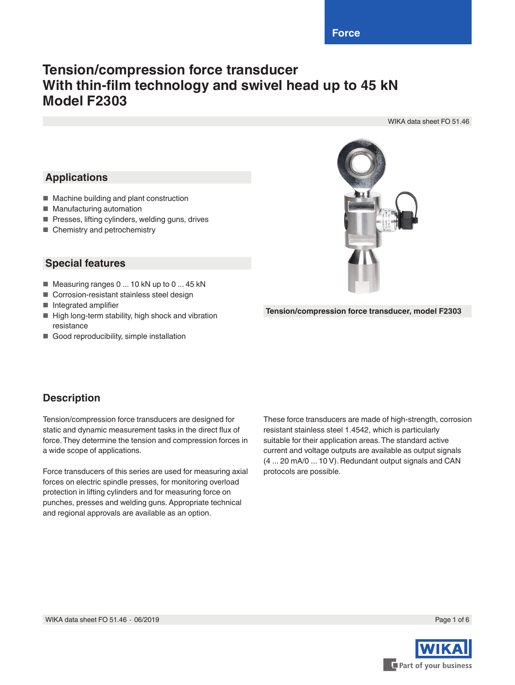# **Tension/compression force transducer With thin-film technology and swivel head up to 45 kN Model F2303**

WIKA data sheet FO 51.46

# **Applications**

- Machine building and plant construction
- Manufacturing automation
- Presses, lifting cylinders, welding guns, drives
- Chemistry and petrochemistry

### **Special features**

- Measuring ranges 0 ... 10 kN up to 0 ... 45 kN
- Corrosion-resistant stainless steel design
- Integrated amplifier
- High long-term stability, high shock and vibration resistance
- Good reproducibility, simple installation



**Tension/compression force transducer, model F2303**

## **Description**

Tension/compression force transducers are designed for static and dynamic measurement tasks in the direct flux of force. They determine the tension and compression forces in a wide scope of applications.

Force transducers of this series are used for measuring axial forces on electric spindle presses, for monitoring overload protection in lifting cylinders and for measuring force on punches, presses and welding guns. Appropriate technical and regional approvals are available as an option.

These force transducers are made of high-strength, corrosion resistant stainless steel 1.4542, which is particularly suitable for their application areas. The standard active current and voltage outputs are available as output signals (4 ... 20 mA/0 ... 10 V). Redundant output signals and CAN protocols are possible.



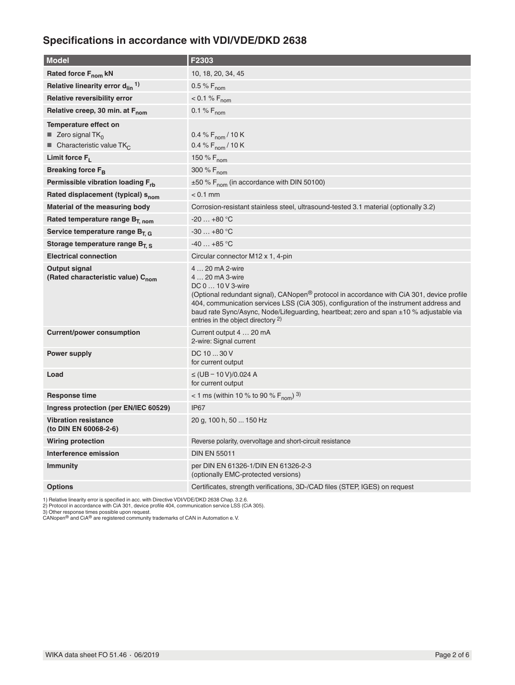# **Specifications in accordance with VDI/VDE/DKD 2638**

| <b>Model</b>                                                                                                       | F2303                                                                                                                                                                                                                                                                                                                                                                                     |
|--------------------------------------------------------------------------------------------------------------------|-------------------------------------------------------------------------------------------------------------------------------------------------------------------------------------------------------------------------------------------------------------------------------------------------------------------------------------------------------------------------------------------|
| Rated force F <sub>nom</sub> kN                                                                                    | 10, 18, 20, 34, 45                                                                                                                                                                                                                                                                                                                                                                        |
| Relative linearity error $d_{lin}$ <sup>1)</sup>                                                                   | 0.5 % $F_{\text{nom}}$                                                                                                                                                                                                                                                                                                                                                                    |
| Relative reversibility error                                                                                       | $< 0.1 % F_{nom}$                                                                                                                                                                                                                                                                                                                                                                         |
| Relative creep, 30 min. at F <sub>nom</sub>                                                                        | 0.1 % $F_{\text{nom}}$                                                                                                                                                                                                                                                                                                                                                                    |
| Temperature effect on<br>$\blacksquare$ Zero signal TK <sub>0</sub><br><b>Characteristic value TK</b> <sub>C</sub> | 0.4 % $F_{nom}$ / 10 K<br>0.4 % $F_{\text{nom}}$ / 10 K                                                                                                                                                                                                                                                                                                                                   |
| Limit force $F_1$                                                                                                  | 150 % $F_{nom}$                                                                                                                                                                                                                                                                                                                                                                           |
| Breaking force F <sub>B</sub>                                                                                      | 300 % F <sub>nom</sub>                                                                                                                                                                                                                                                                                                                                                                    |
| Permissible vibration loading F <sub>rb</sub>                                                                      | $\pm 50$ % F <sub>nom</sub> (in accordance with DIN 50100)                                                                                                                                                                                                                                                                                                                                |
| Rated displacement (typical) s <sub>nom</sub>                                                                      | $< 0.1$ mm                                                                                                                                                                                                                                                                                                                                                                                |
| Material of the measuring body                                                                                     | Corrosion-resistant stainless steel, ultrasound-tested 3.1 material (optionally 3.2)                                                                                                                                                                                                                                                                                                      |
| Rated temperature range B <sub>T, nom</sub>                                                                        | $-20+80$ °C                                                                                                                                                                                                                                                                                                                                                                               |
| Service temperature range B <sub>T. G</sub>                                                                        | $-30+80$ °C                                                                                                                                                                                                                                                                                                                                                                               |
| Storage temperature range $B_{T.S.}$                                                                               | $-40+85$ °C                                                                                                                                                                                                                                                                                                                                                                               |
| <b>Electrical connection</b>                                                                                       | Circular connector M12 x 1, 4-pin                                                                                                                                                                                                                                                                                                                                                         |
| Output signal<br>(Rated characteristic value) C <sub>nom</sub>                                                     | 4  20 mA 2-wire<br>4  20 mA 3-wire<br>DC 0  10 V 3-wire<br>(Optional redundant signal), CANopen® protocol in accordance with CiA 301, device profile<br>404, communication services LSS (CiA 305), configuration of the instrument address and<br>baud rate Sync/Async, Node/Lifeguarding, heartbeat; zero and span ±10 % adjustable via<br>entries in the object directory <sup>2)</sup> |
| <b>Current/power consumption</b>                                                                                   | Current output 4  20 mA<br>2-wire: Signal current                                                                                                                                                                                                                                                                                                                                         |
| <b>Power supply</b>                                                                                                | DC 10  30 V<br>for current output                                                                                                                                                                                                                                                                                                                                                         |
| Load                                                                                                               | ≤ (UB – 10 V)/0.024 A<br>for current output                                                                                                                                                                                                                                                                                                                                               |
| <b>Response time</b>                                                                                               | < 1 ms (within 10 % to 90 % $F_{\text{nom}}$ ) 3)                                                                                                                                                                                                                                                                                                                                         |
| Ingress protection (per EN/IEC 60529)                                                                              | <b>IP67</b>                                                                                                                                                                                                                                                                                                                                                                               |
| <b>Vibration resistance</b><br>(to DIN EN 60068-2-6)                                                               | 20 g, 100 h, 50  150 Hz                                                                                                                                                                                                                                                                                                                                                                   |
| <b>Wiring protection</b>                                                                                           | Reverse polarity, overvoltage and short-circuit resistance                                                                                                                                                                                                                                                                                                                                |
| Interference emission                                                                                              | <b>DIN EN 55011</b>                                                                                                                                                                                                                                                                                                                                                                       |
| <b>Immunity</b>                                                                                                    | per DIN EN 61326-1/DIN EN 61326-2-3<br>(optionally EMC-protected versions)                                                                                                                                                                                                                                                                                                                |
| <b>Options</b>                                                                                                     | Certificates, strength verifications, 3D-/CAD files (STEP, IGES) on request                                                                                                                                                                                                                                                                                                               |

1) Relative linearity error is specified in acc. with Directive VDI/VDE/DKD 2638 Chap. 3.2.6.<br>2) Protocol in accordance with CiA 301, device profile 404, communication service LSS (CiA 305).<br>3) Other response times possibl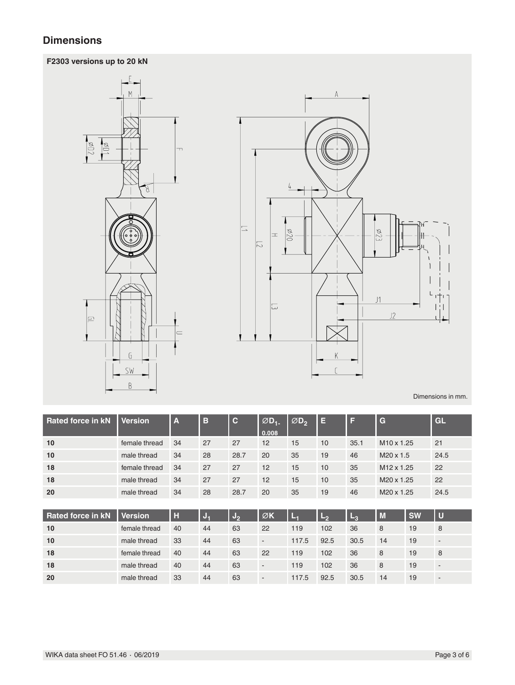# **Dimensions**

### **F2303 versions up to 20 kN**





Dimensions in mm.

| 10<br>27<br>12<br>female thread<br>34<br>27<br>15<br>M <sub>10</sub> x 1.25<br>10<br>35.1<br>21<br>10<br>24.5<br>34<br>28<br>28.7<br>20<br>35<br>M <sub>20</sub> x 1.5<br>19<br>46<br>male thread<br>18<br>27<br>22<br>34<br>27<br>12<br>15<br>35<br>10<br>M <sub>12</sub> x 1.25<br>female thread<br>18<br>27<br>22<br>34<br>27<br>12<br>15<br>male thread<br>10<br>35<br>M20 x 1.25 | <b>Rated force in kN</b> | <b>Version</b> | $\overline{\mathbf{A}}$ | B | $ {\bf C} $ | $\varnothing$ D <sub>1-</sub><br>0.008 | ØD, | E | ш | G | GL |
|---------------------------------------------------------------------------------------------------------------------------------------------------------------------------------------------------------------------------------------------------------------------------------------------------------------------------------------------------------------------------------------|--------------------------|----------------|-------------------------|---|-------------|----------------------------------------|-----|---|---|---|----|
|                                                                                                                                                                                                                                                                                                                                                                                       |                          |                |                         |   |             |                                        |     |   |   |   |    |
|                                                                                                                                                                                                                                                                                                                                                                                       |                          |                |                         |   |             |                                        |     |   |   |   |    |
|                                                                                                                                                                                                                                                                                                                                                                                       |                          |                |                         |   |             |                                        |     |   |   |   |    |
|                                                                                                                                                                                                                                                                                                                                                                                       |                          |                |                         |   |             |                                        |     |   |   |   |    |
| 20<br>male thread<br>34<br>28.7<br>20<br>24.5<br>28<br>35<br>19<br>M20 x 1.25<br>46                                                                                                                                                                                                                                                                                                   |                          |                |                         |   |             |                                        |     |   |   |   |    |

| <b>Rated force in kN</b> | <b>Version</b> | H  | J, | ്യം | ØK                       | E     | مط   | $L_{3}$ | M  | <b>SW</b> | IJ                       |
|--------------------------|----------------|----|----|-----|--------------------------|-------|------|---------|----|-----------|--------------------------|
| 10                       | female thread  | 40 | 44 | 63  | 22                       | 119   | 102  | 36      | 8  | 19        | 8                        |
| 10                       | male thread    | 33 | 44 | 63  |                          | 117.5 | 92.5 | 30.5    | 14 | 19        | $\overline{\phantom{0}}$ |
| 18                       | female thread  | 40 | 44 | 63  | 22                       | 119   | 102  | 36      | 8  | 19        | 8                        |
| 18                       | male thread    | 40 | 44 | 63  | $\overline{\phantom{a}}$ | 119   | 102  | 36      | 8  | 19        | $\overline{\phantom{a}}$ |
| 20                       | male thread    | 33 | 44 | 63  | $\overline{\phantom{a}}$ | 117.5 | 92.5 | 30.5    | 14 | 19        | $\overline{\phantom{0}}$ |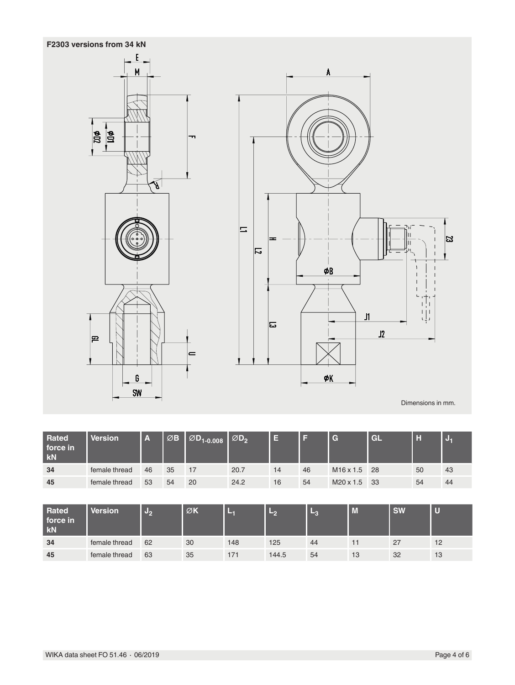

 $\vert_{\mathbf{P}}$ 



Dimensions in mm.

 $\overline{\omega}$ 

| <b>Rated</b><br>force in<br><b>kN</b> | Version       | <b>TA</b> | ØΒ | $\boxed{\emptyset}$ D <sub>1-0.008</sub> | $\emptyset$ D <sub>2</sub> | 目  |    | G                     | GL  | H  |     |
|---------------------------------------|---------------|-----------|----|------------------------------------------|----------------------------|----|----|-----------------------|-----|----|-----|
| 34                                    | female thread | 46        | 35 | 17                                       | 20.7                       | 14 | 46 | M <sub>16</sub> x 1.5 | 28  | 50 | -43 |
| 45                                    | female thread | 53        | 54 | 20                                       | 24.2                       | 16 | 54 | $M20 \times 1.5$      | -33 | 54 | 44  |

| <b>Rated</b><br>force in<br>kN | Version       | 95<br>r – | ØK | -   | مط    | - 6 | M  | <b>SW</b> |    |
|--------------------------------|---------------|-----------|----|-----|-------|-----|----|-----------|----|
| 34                             | female thread | 62        | 30 | 148 | 125   | 44  |    | 27        | 12 |
| 45                             | female thread | 63        | 35 | 171 | 144.5 | 54  | 13 | 32        | 13 |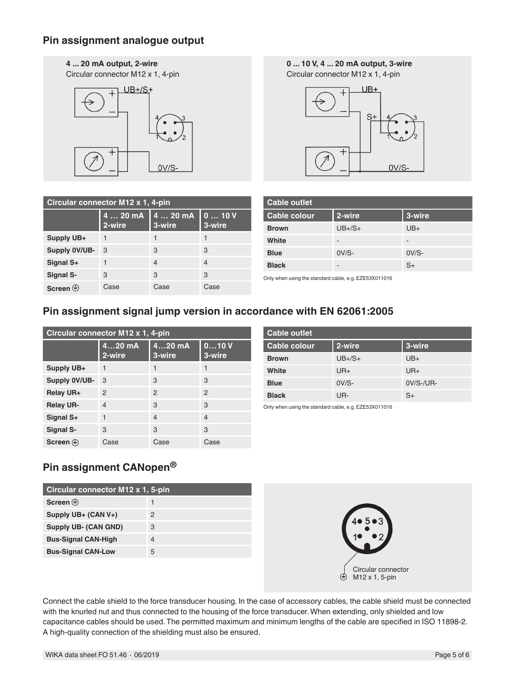### **Pin assignment analogue output**

#### **4 ... 20 mA output, 2-wire**

Circular connector M12 x 1, 4-pin



**0 ... 10 V, 4 ... 20 mA output, 3-wire**

Circular connector M12 x 1, 4-pin



| Circular connector M12 x 1, 4-pin |                    |                    |                |  |  |  |
|-----------------------------------|--------------------|--------------------|----------------|--|--|--|
|                                   | 4  20 mA<br>2-wire | 4  20 mA<br>3-wire | 010V<br>3-wire |  |  |  |
| Supply UB+                        |                    |                    |                |  |  |  |
| Supply 0V/UB-                     | 3                  | 3                  | 3              |  |  |  |
| Signal S+                         |                    | 4                  | 4              |  |  |  |
| Signal S-                         | 3                  | 3                  | 3              |  |  |  |
| Screen $\circledast$              | Case               | Case               | Case           |  |  |  |

| <b>Cable outlet</b> |                          |         |  |  |  |
|---------------------|--------------------------|---------|--|--|--|
| <b>Cable colour</b> | 2-wire                   | 3-wire  |  |  |  |
| <b>Brown</b>        | $UB + /S +$              | $UB+$   |  |  |  |
| White               | $\overline{\phantom{a}}$ | -       |  |  |  |
| <b>Blue</b>         | $OV/S-$                  | $OV/S-$ |  |  |  |
| <b>Black</b>        | -                        | $S+$    |  |  |  |

Only when using the standard cable, e.g. EZE53X011016

## **Pin assignment signal jump version in accordance with EN 62061:2005**

| Circular connector M12 x 1, 4-pin |                    |                    |                |  |  |
|-----------------------------------|--------------------|--------------------|----------------|--|--|
|                                   | $420$ mA<br>2-wire | $420$ mA<br>3-wire | 010V<br>3-wire |  |  |
| Supply UB+                        | 1                  | 1                  | 1              |  |  |
| Supply 0V/UB-                     | 3                  | 3                  | 3              |  |  |
| Relay UR+                         | $\mathfrak{p}$     | $\mathcal{P}$      | $\mathcal{P}$  |  |  |
| <b>Relay UR-</b>                  | $\overline{4}$     | 3                  | 3              |  |  |
| Signal S+                         |                    | $\overline{4}$     | $\overline{4}$ |  |  |
| Signal S-                         | 3                  | 3                  | 3              |  |  |
| Screen $\circledast$              | Case               | Case               | Case           |  |  |

| <b>Cable outlet</b> |             |              |  |  |  |
|---------------------|-------------|--------------|--|--|--|
| <b>Cable colour</b> | 2-wire      | 3-wire       |  |  |  |
| <b>Brown</b>        | $UB + /S +$ | $UB+$        |  |  |  |
| White               | $UR+$       | $UR+$        |  |  |  |
| <b>Blue</b>         | $0V/S-$     | $0V/S$ -/UR- |  |  |  |
| <b>Black</b>        | UR-         | $S+$         |  |  |  |

Only when using the standard cable, e.g. EZE53X011016

# **Pin assignment CANopen®**

| Circular connector M12 x 1, 5-pin |   |  |  |  |
|-----------------------------------|---|--|--|--|
| Screen $\oplus$                   |   |  |  |  |
| Supply UB+ (CAN V+)               | 2 |  |  |  |
| Supply UB- (CAN GND)              | 3 |  |  |  |
| <b>Bus-Signal CAN-High</b>        | 4 |  |  |  |
| <b>Bus-Signal CAN-Low</b>         | 5 |  |  |  |



Connect the cable shield to the force transducer housing. In the case of accessory cables, the cable shield must be connected with the knurled nut and thus connected to the housing of the force transducer. When extending, only shielded and low capacitance cables should be used. The permitted maximum and minimum lengths of the cable are specified in ISO 11898-2. A high-quality connection of the shielding must also be ensured.